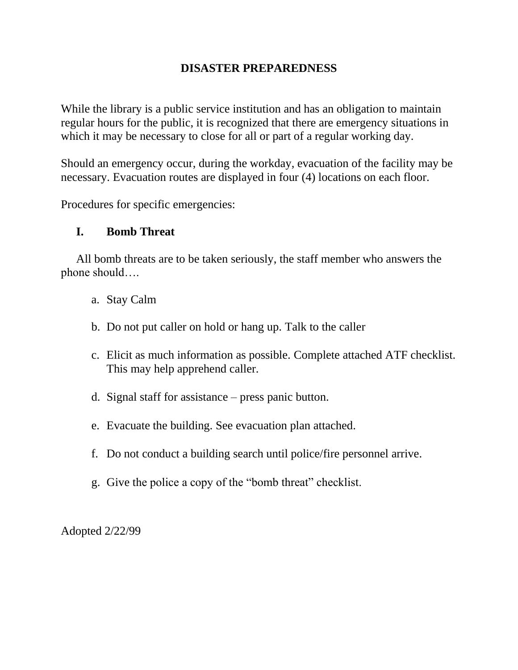## **DISASTER PREPAREDNESS**

While the library is a public service institution and has an obligation to maintain regular hours for the public, it is recognized that there are emergency situations in which it may be necessary to close for all or part of a regular working day.

Should an emergency occur, during the workday, evacuation of the facility may be necessary. Evacuation routes are displayed in four (4) locations on each floor.

Procedures for specific emergencies:

#### **I. Bomb Threat**

All bomb threats are to be taken seriously, the staff member who answers the phone should….

- a. Stay Calm
- b. Do not put caller on hold or hang up. Talk to the caller
- c. Elicit as much information as possible. Complete attached ATF checklist. This may help apprehend caller.
- d. Signal staff for assistance press panic button.
- e. Evacuate the building. See evacuation plan attached.
- f. Do not conduct a building search until police/fire personnel arrive.
- g. Give the police a copy of the "bomb threat" checklist.

Adopted 2/22/99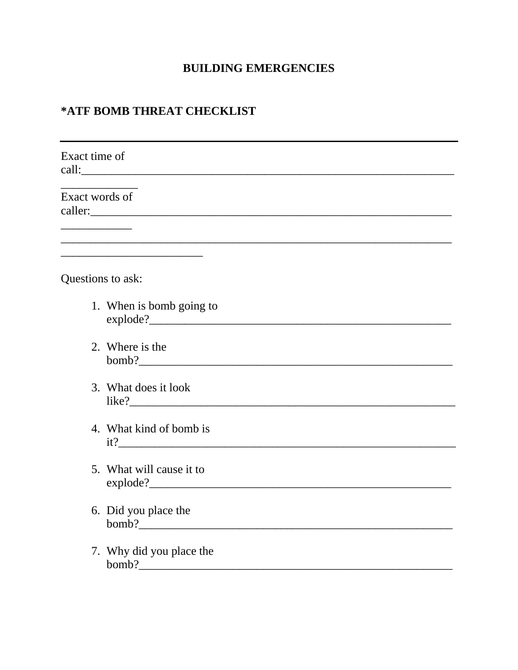# **BUILDING EMERGENCIES**

# \*ATF BOMB THREAT CHECKLIST

| Exact time of     | call:                                                                                                                |
|-------------------|----------------------------------------------------------------------------------------------------------------------|
| Exact words of    | <u> 1999 - Johann Johann Johann Johann Johann Johann Johann Johann Johann Johann Johann Johann Johann Johann Joh</u> |
| Questions to ask: |                                                                                                                      |
|                   | 1. When is bomb going to<br>explode?                                                                                 |
|                   | 2. Where is the<br>$\text{bomb?}$                                                                                    |
|                   | 3. What does it look                                                                                                 |
|                   | 4. What kind of bomb is<br>it?                                                                                       |
|                   | 5. What will cause it to<br>explode?                                                                                 |
|                   | 6. Did you place the<br>$\text{bomb?}$                                                                               |
|                   | 7. Why did you place the                                                                                             |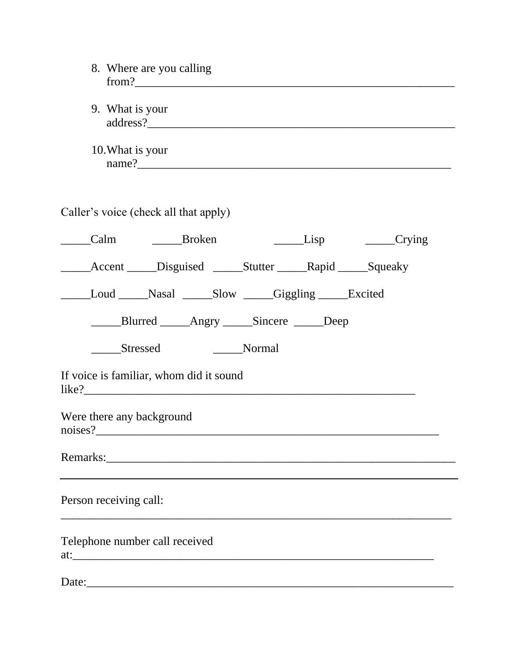| 8. Where are you calling<br>from ?                                                                                                                                                                                            |                                                                |  |             |  |  |
|-------------------------------------------------------------------------------------------------------------------------------------------------------------------------------------------------------------------------------|----------------------------------------------------------------|--|-------------|--|--|
| 9. What is your                                                                                                                                                                                                               |                                                                |  |             |  |  |
| 10. What is your                                                                                                                                                                                                              |                                                                |  | name?       |  |  |
|                                                                                                                                                                                                                               | Caller's voice (check all that apply)                          |  |             |  |  |
|                                                                                                                                                                                                                               | Calm Broken                                                    |  | Lisp Crying |  |  |
|                                                                                                                                                                                                                               | Accent _____Disguised ______Stutter _______Rapid ______Squeaky |  |             |  |  |
| Loud Nasal Slow Giggling Excited                                                                                                                                                                                              |                                                                |  |             |  |  |
| ______Blurred ______Angry ______Sincere ______Deep                                                                                                                                                                            |                                                                |  |             |  |  |
| Stressed<br><b>Solution</b> Normal                                                                                                                                                                                            |                                                                |  |             |  |  |
| If voice is familiar, whom did it sound<br>like?                                                                                                                                                                              |                                                                |  |             |  |  |
| Were there any background<br>noises?                                                                                                                                                                                          |                                                                |  |             |  |  |
| Remarks: New York Changes and The Changes of the Changes of the Changes of the Changes of the Changes of the Changes of the Changes of the Changes of the Changes of the Changes of the Changes of the Changes of the Changes |                                                                |  |             |  |  |
| Person receiving call:                                                                                                                                                                                                        |                                                                |  |             |  |  |
| Telephone number call received                                                                                                                                                                                                |                                                                |  |             |  |  |
|                                                                                                                                                                                                                               |                                                                |  |             |  |  |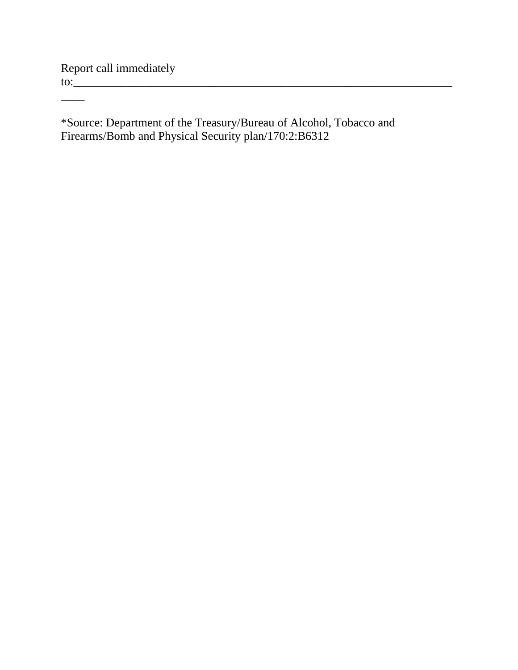Report call immediately to:\_\_\_\_\_\_\_\_\_\_\_\_\_\_\_\_\_\_\_\_\_\_\_\_\_\_\_\_\_\_\_\_\_\_\_\_\_\_\_\_\_\_\_\_\_\_\_\_\_\_\_\_\_\_\_\_\_\_\_\_\_\_\_\_

 $\overline{\phantom{a}}$ 

\*Source: Department of the Treasury/Bureau of Alcohol, Tobacco and Firearms/Bomb and Physical Security plan/170:2:B6312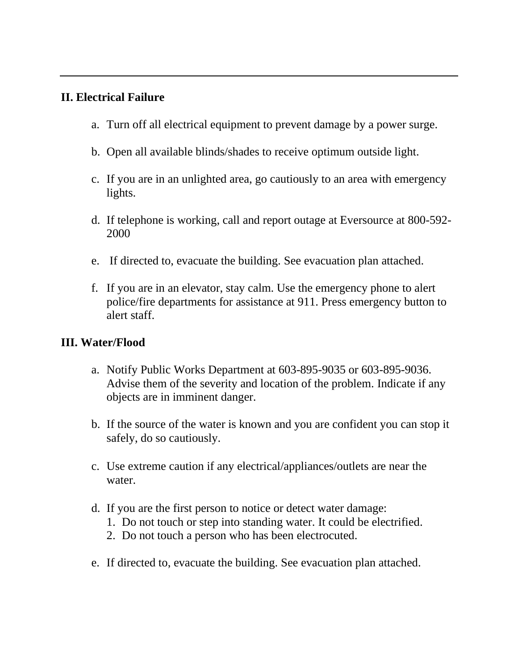## **II. Electrical Failure**

- a. Turn off all electrical equipment to prevent damage by a power surge.
- b. Open all available blinds/shades to receive optimum outside light.
- c. If you are in an unlighted area, go cautiously to an area with emergency lights.
- d. If telephone is working, call and report outage at Eversource at 800-592- 2000
- e. If directed to, evacuate the building. See evacuation plan attached.
- f. If you are in an elevator, stay calm. Use the emergency phone to alert police/fire departments for assistance at 911. Press emergency button to alert staff.

## **III. Water/Flood**

- a. Notify Public Works Department at 603-895-9035 or 603-895-9036. Advise them of the severity and location of the problem. Indicate if any objects are in imminent danger.
- b. If the source of the water is known and you are confident you can stop it safely, do so cautiously.
- c. Use extreme caution if any electrical/appliances/outlets are near the water.
- d. If you are the first person to notice or detect water damage:
	- 1. Do not touch or step into standing water. It could be electrified.
	- 2. Do not touch a person who has been electrocuted.
- e. If directed to, evacuate the building. See evacuation plan attached.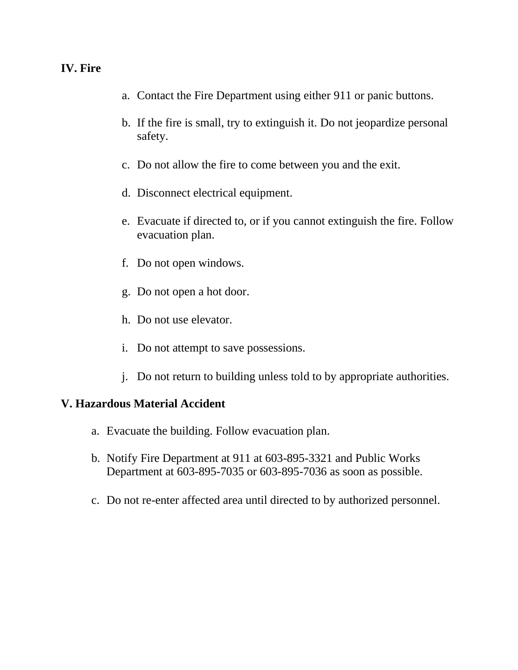## **IV. Fire**

- a. Contact the Fire Department using either 911 or panic buttons.
- b. If the fire is small, try to extinguish it. Do not jeopardize personal safety.
- c. Do not allow the fire to come between you and the exit.
- d. Disconnect electrical equipment.
- e. Evacuate if directed to, or if you cannot extinguish the fire. Follow evacuation plan.
- f. Do not open windows.
- g. Do not open a hot door.
- h. Do not use elevator.
- i. Do not attempt to save possessions.
- j. Do not return to building unless told to by appropriate authorities.

#### **V. Hazardous Material Accident**

- a. Evacuate the building. Follow evacuation plan.
- b. Notify Fire Department at 911 at 603-895-3321 and Public Works Department at 603-895-7035 or 603-895-7036 as soon as possible.
- c. Do not re-enter affected area until directed to by authorized personnel.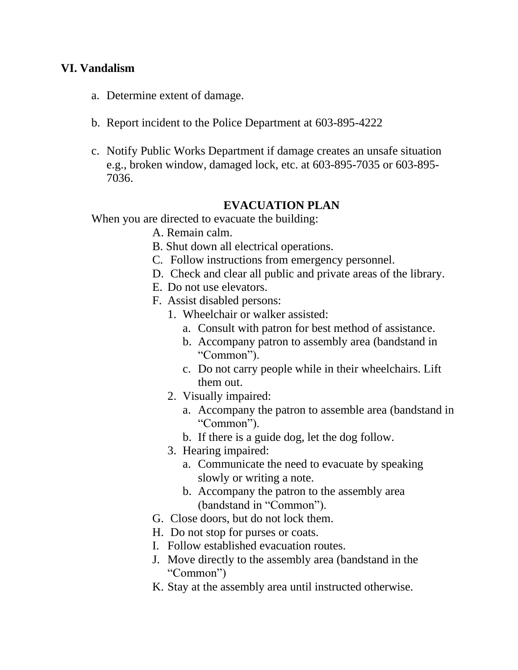#### **VI. Vandalism**

- a. Determine extent of damage.
- b. Report incident to the Police Department at 603-895-4222
- c. Notify Public Works Department if damage creates an unsafe situation e.g., broken window, damaged lock, etc. at 603-895-7035 or 603-895- 7036.

#### **EVACUATION PLAN**

When you are directed to evacuate the building:

- A. Remain calm.
- B. Shut down all electrical operations.
- C. Follow instructions from emergency personnel.
- D. Check and clear all public and private areas of the library.
- E. Do not use elevators.
- F. Assist disabled persons:
	- 1. Wheelchair or walker assisted:
		- a. Consult with patron for best method of assistance.
		- b. Accompany patron to assembly area (bandstand in "Common").
		- c. Do not carry people while in their wheelchairs. Lift them out.
	- 2. Visually impaired:
		- a. Accompany the patron to assemble area (bandstand in "Common").
		- b. If there is a guide dog, let the dog follow.
	- 3. Hearing impaired:
		- a. Communicate the need to evacuate by speaking slowly or writing a note.
		- b. Accompany the patron to the assembly area (bandstand in "Common").
- G. Close doors, but do not lock them.
- H. Do not stop for purses or coats.
- I. Follow established evacuation routes.
- J. Move directly to the assembly area (bandstand in the "Common")
- K. Stay at the assembly area until instructed otherwise.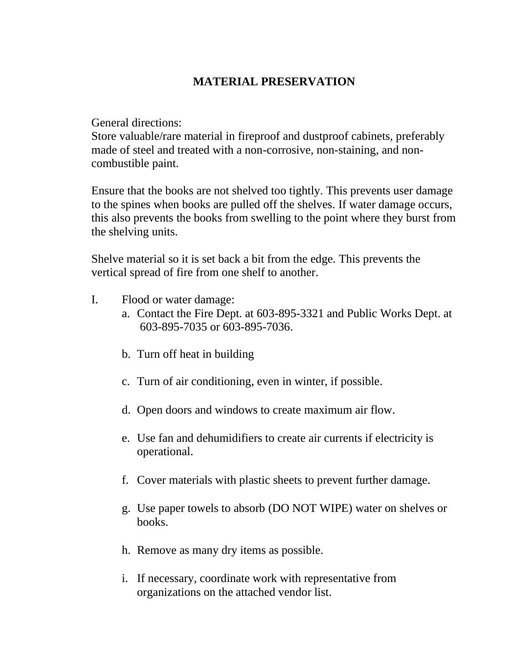# **MATERIAL PRESERVATION**

General directions:

Store valuable/rare material in fireproof and dustproof cabinets, preferably made of steel and treated with a non-corrosive, non-staining, and noncombustible paint.

Ensure that the books are not shelved too tightly. This prevents user damage to the spines when books are pulled off the shelves. If water damage occurs, this also prevents the books from swelling to the point where they burst from the shelving units.

Shelve material so it is set back a bit from the edge. This prevents the vertical spread of fire from one shelf to another.

- I. Flood or water damage:
	- a. Contact the Fire Dept. at 603-895-3321 and Public Works Dept. at 603-895-7035 or 603-895-7036.
	- b. Turn off heat in building
	- c. Turn of air conditioning, even in winter, if possible.
	- d. Open doors and windows to create maximum air flow.
	- e. Use fan and dehumidifiers to create air currents if electricity is operational.
	- f. Cover materials with plastic sheets to prevent further damage.
	- g. Use paper towels to absorb (DO NOT WIPE) water on shelves or books.
	- h. Remove as many dry items as possible.
	- i. If necessary, coordinate work with representative from organizations on the attached vendor list.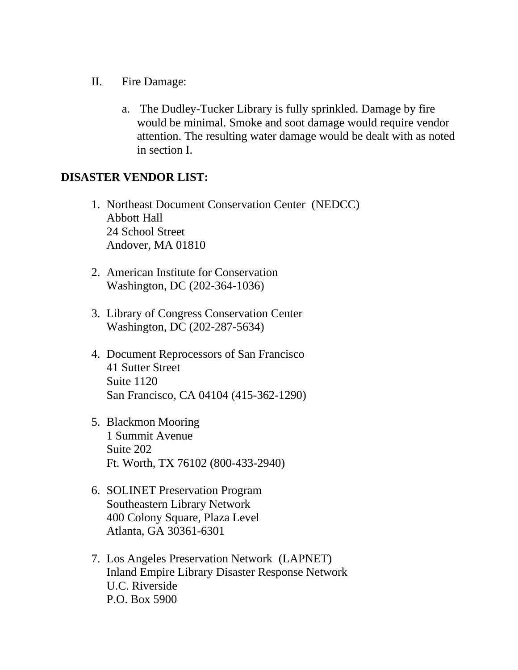- II. Fire Damage:
	- a. The Dudley-Tucker Library is fully sprinkled. Damage by fire would be minimal. Smoke and soot damage would require vendor attention. The resulting water damage would be dealt with as noted in section I.

## **DISASTER VENDOR LIST:**

- 1. Northeast Document Conservation Center (NEDCC) Abbott Hall 24 School Street Andover, MA 01810
- 2. American Institute for Conservation Washington, DC (202-364-1036)
- 3. Library of Congress Conservation Center Washington, DC (202-287-5634)
- 4. Document Reprocessors of San Francisco 41 Sutter Street Suite 1120 San Francisco, CA 04104 (415-362-1290)
- 5. Blackmon Mooring 1 Summit Avenue Suite 202 Ft. Worth, TX 76102 (800-433-2940)
- 6. SOLINET Preservation Program Southeastern Library Network 400 Colony Square, Plaza Level Atlanta, GA 30361-6301
- 7. Los Angeles Preservation Network (LAPNET) Inland Empire Library Disaster Response Network U.C. Riverside P.O. Box 5900